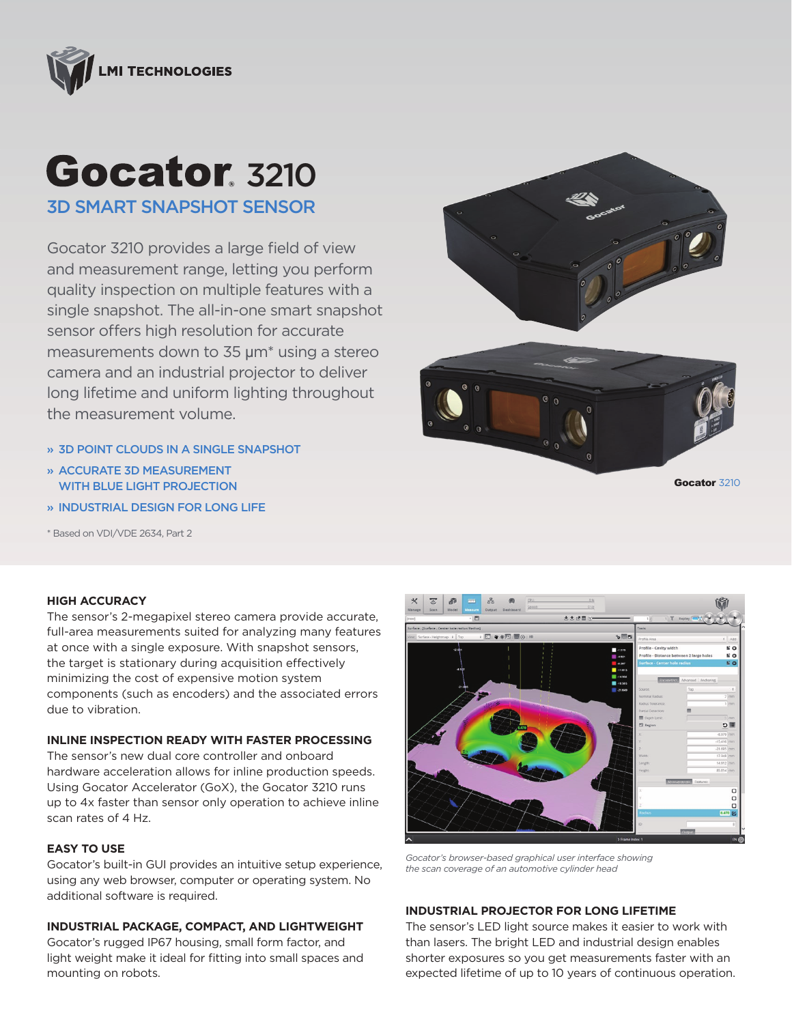

# **Gocator**, 3210 3D SMART SNAPSHOT SENSOR

Gocator 3210 provides a large field of view and measurement range, letting you perform quality inspection on multiple features with a single snapshot. The all-in-one smart snapshot sensor offers high resolution for accurate measurements down to 35 µm\* using a stereo camera and an industrial projector to deliver long lifetime and uniform lighting throughout the measurement volume.

- » 3D POINT CLOUDS IN A SINGLE SNAPSHOT
- » ACCURATE 3D MEASUREMENT WITH BLUE LIGHT PROJECTION
- » INDUSTRIAL DESIGN FOR LONG LIFE

\* Based on VDI/VDE 2634, Part 2



Gocator 3210

# **HIGH ACCURACY**

The sensor's 2-megapixel stereo camera provide accurate, full-area measurements suited for analyzing many features at once with a single exposure. With snapshot sensors, the target is stationary during acquisition effectively minimizing the cost of expensive motion system components (such as encoders) and the associated errors due to vibration.

#### **INLINE INSPECTION READY WITH FASTER PROCESSING**

The sensor's new dual core controller and onboard hardware acceleration allows for inline production speeds. Using Gocator Accelerator (GoX), the Gocator 3210 runs up to 4x faster than sensor only operation to achieve inline scan rates of 4 Hz.

### **EASY TO USE**

Gocator's built-in GUI provides an intuitive setup experience, using any web browser, computer or operating system. No additional software is required.

# **INDUSTRIAL PACKAGE, COMPACT, AND LIGHTWEIGHT**

Gocator's rugged IP67 housing, small form factor, and light weight make it ideal for fitting into small spaces and mounting on robots.



*Gocator's browser-based graphical user interface showing the scan coverage of an automotive cylinder head*

# **INDUSTRIAL PROJECTOR FOR LONG LIFETIME**

The sensor's LED light source makes it easier to work with than lasers. The bright LED and industrial design enables shorter exposures so you get measurements faster with an expected lifetime of up to 10 years of continuous operation.